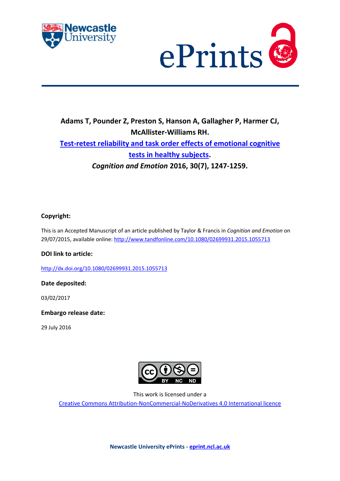



# **Adams T, Pounder Z, Preston S, Hanson A, Gallagher P, Harmer CJ, McAllister-Williams RH. [Test-retest reliability and task order effects of emotional cognitive](https://myimpact.ncl.ac.uk/ViewPublication.aspx?id=228901)  [tests in healthy subjects.](https://myimpact.ncl.ac.uk/ViewPublication.aspx?id=228901)**  *Cognition and Emotion* **2016, 30(7), 1247-1259.**

# **Copyright:**

This is an Accepted Manuscript of an article published by Taylor & Francis in *Cognition and Emotion* on 29/07/2015, available online[: http://www.tandfonline.com/10.1080/02699931.2015.1055713](http://www.tandfonline.com/10.1080/02699931.2015.1055713)

**DOI link to article:**

<http://dx.doi.org/10.1080/02699931.2015.1055713>

**Date deposited:** 

03/02/2017

**Embargo release date:**

29 July 2016



This work is licensed under a

[Creative Commons Attribution-NonCommercial-NoDerivatives 4.0 International licence](https://creativecommons.org/licenses/by-nc-nd/4.0/)

**Newcastle University ePrints - [eprint.ncl.ac.uk](http://eprint.ncl.ac.uk/)**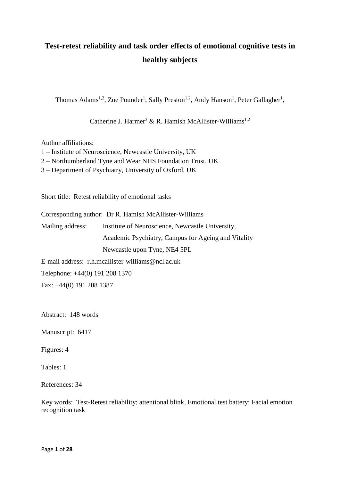# **Test-retest reliability and task order effects of emotional cognitive tests in healthy subjects**

Thomas Adams<sup>1,2</sup>, Zoe Pounder<sup>1</sup>, Sally Preston<sup>1,2</sup>, Andy Hanson<sup>1</sup>, Peter Gallagher<sup>1</sup>,

Catherine J. Harmer<sup>3</sup> & R. Hamish McAllister-Williams<sup>1,2</sup>

Author affiliations:

1 – Institute of Neuroscience, Newcastle University, UK

2 – Northumberland Tyne and Wear NHS Foundation Trust, UK

3 – Department of Psychiatry, University of Oxford, UK

Short title: Retest reliability of emotional tasks

Corresponding author: Dr R. Hamish McAllister-Williams

Mailing address: Institute of Neuroscience, Newcastle University, Academic Psychiatry, Campus for Ageing and Vitality Newcastle upon Tyne, NE4 5PL

E-mail address: r.h.mcallister-williams@ncl.ac.uk

Telephone: +44(0) 191 208 1370

Fax: +44(0) 191 208 1387

Abstract: 148 words

Manuscript: 6417

Figures: 4

Tables: 1

References: 34

Key words: Test-Retest reliability; attentional blink, Emotional test battery; Facial emotion recognition task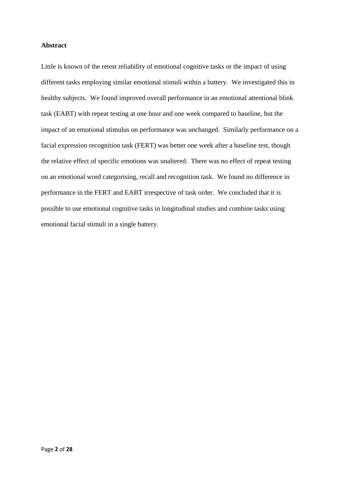## **Abstract**

Little is known of the retest reliability of emotional cognitive tasks or the impact of using different tasks employing similar emotional stimuli within a battery. We investigated this in healthy subjects. We found improved overall performance in an emotional attentional blink task (EABT) with repeat testing at one hour and one week compared to baseline, but the impact of an emotional stimulus on performance was unchanged. Similarly performance on a facial expression recognition task (FERT) was better one week after a baseline test, though the relative effect of specific emotions was unaltered. There was no effect of repeat testing on an emotional word categorising, recall and recognition task. We found no difference in performance in the FERT and EABT irrespective of task order. We concluded that it is possible to use emotional cognitive tasks in longitudinal studies and combine tasks using emotional facial stimuli in a single battery.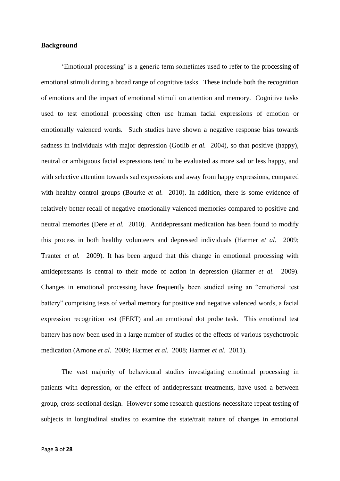## **Background**

'Emotional processing' is a generic term sometimes used to refer to the processing of emotional stimuli during a broad range of cognitive tasks. These include both the recognition of emotions and the impact of emotional stimuli on attention and memory. Cognitive tasks used to test emotional processing often use human facial expressions of emotion or emotionally valenced words. Such studies have shown a negative response bias towards sadness in individuals with major depression (Gotlib *et al.* 2004), so that positive (happy), neutral or ambiguous facial expressions tend to be evaluated as more sad or less happy, and with selective attention towards sad expressions and away from happy expressions, compared with healthy control groups (Bourke *et al.* 2010). In addition, there is some evidence of relatively better recall of negative emotionally valenced memories compared to positive and neutral memories (Dere *et al.* 2010). Antidepressant medication has been found to modify this process in both healthy volunteers and depressed individuals (Harmer *et al.* 2009; Tranter *et al.* 2009). It has been argued that this change in emotional processing with antidepressants is central to their mode of action in depression (Harmer *et al.* 2009). Changes in emotional processing have frequently been studied using an "emotional test battery" comprising tests of verbal memory for positive and negative valenced words, a facial expression recognition test (FERT) and an emotional dot probe task. This emotional test battery has now been used in a large number of studies of the effects of various psychotropic medication (Arnone *et al.* 2009; Harmer *et al.* 2008; Harmer *et al.* 2011).

The vast majority of behavioural studies investigating emotional processing in patients with depression, or the effect of antidepressant treatments, have used a between group, cross-sectional design. However some research questions necessitate repeat testing of subjects in longitudinal studies to examine the state/trait nature of changes in emotional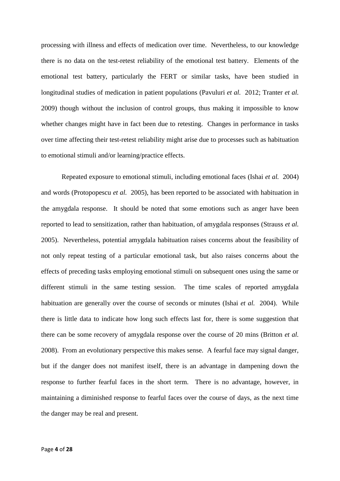processing with illness and effects of medication over time. Nevertheless, to our knowledge there is no data on the test-retest reliability of the emotional test battery. Elements of the emotional test battery, particularly the FERT or similar tasks, have been studied in longitudinal studies of medication in patient populations (Pavuluri *et al.* 2012; Tranter *et al.*  2009) though without the inclusion of control groups, thus making it impossible to know whether changes might have in fact been due to retesting. Changes in performance in tasks over time affecting their test-retest reliability might arise due to processes such as habituation to emotional stimuli and/or learning/practice effects.

Repeated exposure to emotional stimuli, including emotional faces (Ishai *et al.* 2004) and words (Protopopescu *et al.* 2005), has been reported to be associated with habituation in the amygdala response. It should be noted that some emotions such as anger have been reported to lead to sensitization, rather than habituation, of amygdala responses (Strauss *et al.*  2005). Nevertheless, potential amygdala habituation raises concerns about the feasibility of not only repeat testing of a particular emotional task, but also raises concerns about the effects of preceding tasks employing emotional stimuli on subsequent ones using the same or different stimuli in the same testing session. The time scales of reported amygdala habituation are generally over the course of seconds or minutes (Ishai *et al.* 2004). While there is little data to indicate how long such effects last for, there is some suggestion that there can be some recovery of amygdala response over the course of 20 mins (Britton *et al.*  2008). From an evolutionary perspective this makes sense. A fearful face may signal danger, but if the danger does not manifest itself, there is an advantage in dampening down the response to further fearful faces in the short term. There is no advantage, however, in maintaining a diminished response to fearful faces over the course of days, as the next time the danger may be real and present.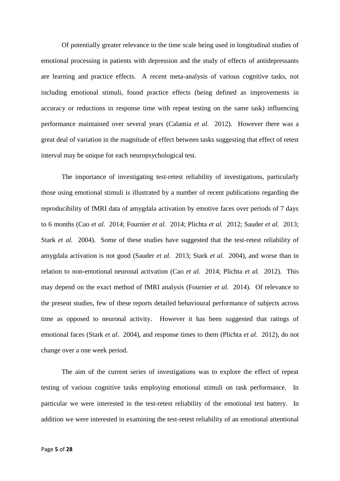Of potentially greater relevance to the time scale being used in longitudinal studies of emotional processing in patients with depression and the study of effects of antidepressants are learning and practice effects. A recent meta-analysis of various cognitive tasks, not including emotional stimuli, found practice effects (being defined as improvements in accuracy or reductions in response time with repeat testing on the same task) influencing performance maintained over several years (Calamia *et al.* 2012). However there was a great deal of variation in the magnitude of effect between tasks suggesting that effect of retest interval may be unique for each neuropsychological test.

The importance of investigating test-retest reliability of investigations, particularly those using emotional stimuli is illustrated by a number of recent publications regarding the reproducibility of fMRI data of amygdala activation by emotive faces over periods of 7 days to 6 months (Cao *et al.* 2014; Fournier *et al.* 2014; Plichta *et al.* 2012; Sauder *et al.* 2013; Stark *et al.* 2004). Some of these studies have suggested that the test-retest reliability of amygdala activation is not good (Sauder *et al.* 2013; Stark *et al.* 2004), and worse than in relation to non-emotional neuronal activation (Cao *et al.* 2014; Plichta *et al.* 2012). This may depend on the exact method of fMRI analysis (Fournier *et al.* 2014). Of relevance to the present studies, few of these reports detailed behavioural performance of subjects across time as opposed to neuronal activity. However it has been suggested that ratings of emotional faces (Stark *et al.* 2004), and response times to them (Plichta *et al.* 2012), do not change over a one week period.

The aim of the current series of investigations was to explore the effect of repeat testing of various cognitive tasks employing emotional stimuli on task performance. In particular we were interested in the test-retest reliability of the emotional test battery. In addition we were interested in examining the test-retest reliability of an emotional attentional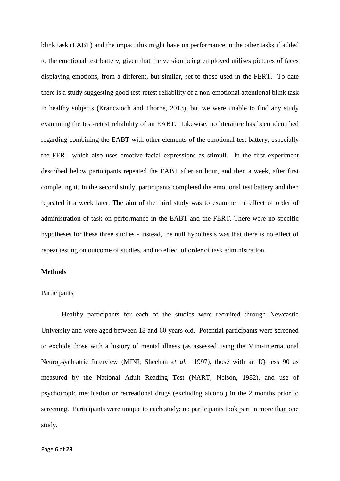blink task (EABT) and the impact this might have on performance in the other tasks if added to the emotional test battery, given that the version being employed utilises pictures of faces displaying emotions, from a different, but similar, set to those used in the FERT. To date there is a study suggesting good test-retest reliability of a non-emotional attentional blink task in healthy subjects (Kranczioch and Thorne, 2013), but we were unable to find any study examining the test-retest reliability of an EABT. Likewise, no literature has been identified regarding combining the EABT with other elements of the emotional test battery, especially the FERT which also uses emotive facial expressions as stimuli. In the first experiment described below participants repeated the EABT after an hour, and then a week, after first completing it. In the second study, participants completed the emotional test battery and then repeated it a week later. The aim of the third study was to examine the effect of order of administration of task on performance in the EABT and the FERT. There were no specific hypotheses for these three studies - instead, the null hypothesis was that there is no effect of repeat testing on outcome of studies, and no effect of order of task administration.

# **Methods**

#### Participants

Healthy participants for each of the studies were recruited through Newcastle University and were aged between 18 and 60 years old. Potential participants were screened to exclude those with a history of mental illness (as assessed using the Mini-International Neuropsychiatric Interview (MINI; Sheehan *et al.* 1997), those with an IQ less 90 as measured by the National Adult Reading Test (NART; Nelson, 1982), and use of psychotropic medication or recreational drugs (excluding alcohol) in the 2 months prior to screening. Participants were unique to each study; no participants took part in more than one study.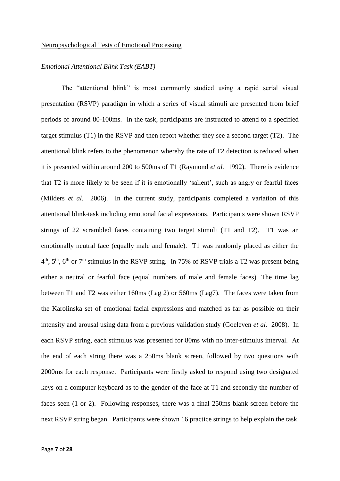# *Emotional Attentional Blink Task (EABT)*

The "attentional blink" is most commonly studied using a rapid serial visual presentation (RSVP) paradigm in which a series of visual stimuli are presented from brief periods of around 80-100ms. In the task, participants are instructed to attend to a specified target stimulus (T1) in the RSVP and then report whether they see a second target (T2). The attentional blink refers to the phenomenon whereby the rate of T2 detection is reduced when it is presented within around 200 to 500ms of T1 (Raymond *et al.* 1992). There is evidence that T2 is more likely to be seen if it is emotionally 'salient', such as angry or fearful faces (Milders *et al.* 2006). In the current study, participants completed a variation of this attentional blink task including emotional facial expressions. Participants were shown RSVP strings of 22 scrambled faces containing two target stimuli (T1 and T2). T1 was an emotionally neutral face (equally male and female). T1 was randomly placed as either the  $4<sup>th</sup>$ ,  $5<sup>th</sup>$ ,  $6<sup>th</sup>$  or  $7<sup>th</sup>$  stimulus in the RSVP string. In 75% of RSVP trials a T2 was present being either a neutral or fearful face (equal numbers of male and female faces). The time lag between T1 and T2 was either 160ms (Lag 2) or 560ms (Lag7). The faces were taken from the Karolinska set of emotional facial expressions and matched as far as possible on their intensity and arousal using data from a previous validation study (Goeleven *et al.* 2008). In each RSVP string, each stimulus was presented for 80ms with no inter-stimulus interval. At the end of each string there was a 250ms blank screen, followed by two questions with 2000ms for each response. Participants were firstly asked to respond using two designated keys on a computer keyboard as to the gender of the face at T1 and secondly the number of faces seen (1 or 2). Following responses, there was a final 250ms blank screen before the next RSVP string began. Participants were shown 16 practice strings to help explain the task.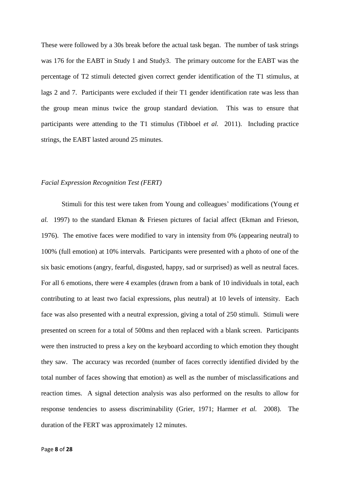These were followed by a 30s break before the actual task began. The number of task strings was 176 for the EABT in Study 1 and Study3. The primary outcome for the EABT was the percentage of T2 stimuli detected given correct gender identification of the T1 stimulus, at lags 2 and 7. Participants were excluded if their T1 gender identification rate was less than the group mean minus twice the group standard deviation. This was to ensure that participants were attending to the T1 stimulus (Tibboel *et al.* 2011). Including practice strings, the EABT lasted around 25 minutes.

#### *Facial Expression Recognition Test (FERT)*

Stimuli for this test were taken from Young and colleagues' modifications (Young *et al.* 1997) to the standard Ekman & Friesen pictures of facial affect (Ekman and Frieson, 1976). The emotive faces were modified to vary in intensity from 0% (appearing neutral) to 100% (full emotion) at 10% intervals. Participants were presented with a photo of one of the six basic emotions (angry, fearful, disgusted, happy, sad or surprised) as well as neutral faces. For all 6 emotions, there were 4 examples (drawn from a bank of 10 individuals in total, each contributing to at least two facial expressions, plus neutral) at 10 levels of intensity. Each face was also presented with a neutral expression, giving a total of 250 stimuli. Stimuli were presented on screen for a total of 500ms and then replaced with a blank screen. Participants were then instructed to press a key on the keyboard according to which emotion they thought they saw. The accuracy was recorded (number of faces correctly identified divided by the total number of faces showing that emotion) as well as the number of misclassifications and reaction times. A signal detection analysis was also performed on the results to allow for response tendencies to assess discriminability (Grier, 1971; Harmer *et al.* 2008). The duration of the FERT was approximately 12 minutes.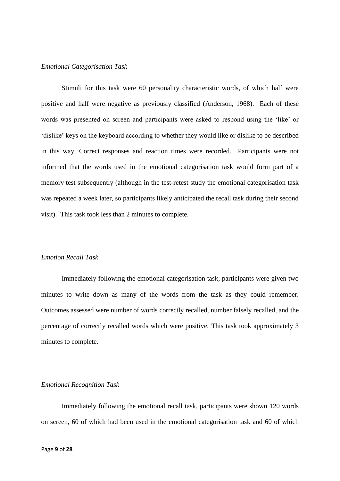#### *Emotional Categorisation Task*

Stimuli for this task were 60 personality characteristic words, of which half were positive and half were negative as previously classified (Anderson, 1968). Each of these words was presented on screen and participants were asked to respond using the 'like' or 'dislike' keys on the keyboard according to whether they would like or dislike to be described in this way. Correct responses and reaction times were recorded. Participants were not informed that the words used in the emotional categorisation task would form part of a memory test subsequently (although in the test-retest study the emotional categorisation task was repeated a week later, so participants likely anticipated the recall task during their second visit). This task took less than 2 minutes to complete.

#### *Emotion Recall Task*

Immediately following the emotional categorisation task, participants were given two minutes to write down as many of the words from the task as they could remember. Outcomes assessed were number of words correctly recalled, number falsely recalled, and the percentage of correctly recalled words which were positive. This task took approximately 3 minutes to complete.

#### *Emotional Recognition Task*

Immediately following the emotional recall task, participants were shown 120 words on screen, 60 of which had been used in the emotional categorisation task and 60 of which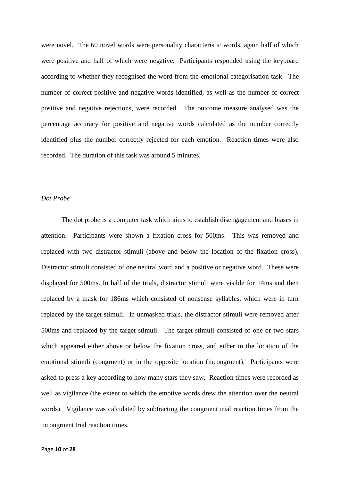were novel. The 60 novel words were personality characteristic words, again half of which were positive and half of which were negative. Participants responded using the keyboard according to whether they recognised the word from the emotional categorisation task. The number of correct positive and negative words identified, as well as the number of correct positive and negative rejections, were recorded. The outcome measure analysed was the percentage accuracy for positive and negative words calculated as the number correctly identified plus the number correctly rejected for each emotion. Reaction times were also recorded. The duration of this task was around 5 minutes.

# *Dot Probe*

The dot probe is a computer task which aims to establish disengagement and biases in attention. Participants were shown a fixation cross for 500ms. This was removed and replaced with two distractor stimuli (above and below the location of the fixation cross). Distractor stimuli consisted of one neutral word and a positive or negative word. These were displayed for 500ms. In half of the trials, distractor stimuli were visible for 14ms and then replaced by a mask for 186ms which consisted of nonsense syllables, which were in turn replaced by the target stimuli. In unmasked trials, the distractor stimuli were removed after 500ms and replaced by the target stimuli. The target stimuli consisted of one or two stars which appeared either above or below the fixation cross, and either in the location of the emotional stimuli (congruent) or in the opposite location (incongruent). Participants were asked to press a key according to how many stars they saw. Reaction times were recorded as well as vigilance (the extent to which the emotive words drew the attention over the neutral words). Vigilance was calculated by subtracting the congruent trial reaction times from the incongruent trial reaction times.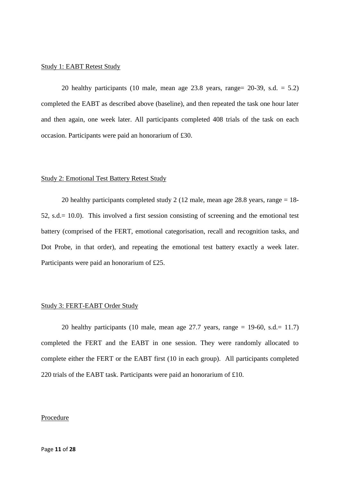#### Study 1: EABT Retest Study

20 healthy participants (10 male, mean age 23.8 years, range= 20-39, s.d. = 5.2) completed the EABT as described above (baseline), and then repeated the task one hour later and then again, one week later. All participants completed 408 trials of the task on each occasion. Participants were paid an honorarium of £30.

# Study 2: Emotional Test Battery Retest Study

20 healthy participants completed study 2 (12 male, mean age 28.8 years, range = 18- 52, s.d.= 10.0). This involved a first session consisting of screening and the emotional test battery (comprised of the FERT, emotional categorisation, recall and recognition tasks, and Dot Probe, in that order), and repeating the emotional test battery exactly a week later. Participants were paid an honorarium of £25.

#### Study 3: FERT-EABT Order Study

20 healthy participants (10 male, mean age 27.7 years, range = 19-60, s.d.= 11.7) completed the FERT and the EABT in one session. They were randomly allocated to complete either the FERT or the EABT first (10 in each group). All participants completed 220 trials of the EABT task. Participants were paid an honorarium of £10.

#### Procedure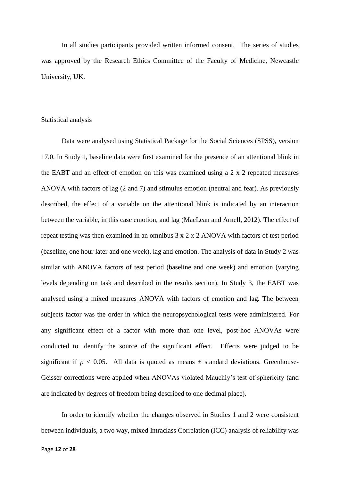In all studies participants provided written informed consent. The series of studies was approved by the Research Ethics Committee of the Faculty of Medicine, Newcastle University, UK.

#### Statistical analysis

Data were analysed using Statistical Package for the Social Sciences (SPSS), version 17.0. In Study 1, baseline data were first examined for the presence of an attentional blink in the EABT and an effect of emotion on this was examined using a 2 x 2 repeated measures ANOVA with factors of lag (2 and 7) and stimulus emotion (neutral and fear). As previously described, the effect of a variable on the attentional blink is indicated by an interaction between the variable, in this case emotion, and lag (MacLean and Arnell, 2012). The effect of repeat testing was then examined in an omnibus 3 x 2 x 2 ANOVA with factors of test period (baseline, one hour later and one week), lag and emotion. The analysis of data in Study 2 was similar with ANOVA factors of test period (baseline and one week) and emotion (varying levels depending on task and described in the results section). In Study 3, the EABT was analysed using a mixed measures ANOVA with factors of emotion and lag. The between subjects factor was the order in which the neuropsychological tests were administered. For any significant effect of a factor with more than one level, post-hoc ANOVAs were conducted to identify the source of the significant effect. Effects were judged to be significant if  $p < 0.05$ . All data is quoted as means  $\pm$  standard deviations. Greenhouse-Geisser corrections were applied when ANOVAs violated Mauchly's test of sphericity (and are indicated by degrees of freedom being described to one decimal place).

In order to identify whether the changes observed in Studies 1 and 2 were consistent between individuals, a two way, mixed Intraclass Correlation (ICC) analysis of reliability was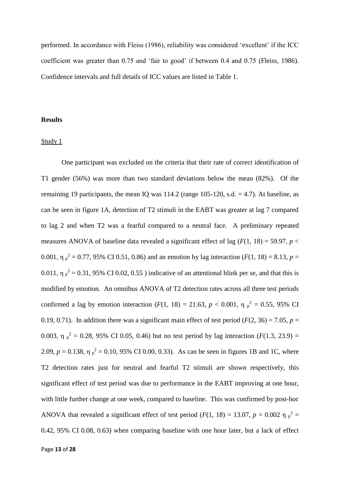performed. In accordance with Fleiss (1986), reliability was considered 'excellent' if the ICC coefficient was greater than 0.75 and 'fair to good' if between 0.4 and 0.75 (Fleiss, 1986). Confidence intervals and full details of ICC values are listed in Table 1.

#### **Results**

#### Study 1

One participant was excluded on the criteria that their rate of correct identification of T1 gender (56%) was more than two standard deviations below the mean (82%). Of the remaining 19 participants, the mean IQ was 114.2 (range 105-120, s.d. = 4.7). At baseline, as can be seen in figure 1A, detection of T2 stimuli in the EABT was greater at lag 7 compared to lag 2 and when T2 was a fearful compared to a neutral face. A preliminary repeated measures ANOVA of baseline data revealed a significant effect of lag ( $F(1, 18) = 59.97$ ,  $p <$ 0.001,  $\eta_p^2 = 0.77$ , 95% CI 0.51, 0.86) and an emotion by lag interaction ( $F(1, 18) = 8.13$ ,  $p = 0.001$ 0.011,  $\eta_p^2 = 0.31$ , 95% CI 0.02, 0.55 ) indicative of an attentional blink per se, and that this is modified by emotion. An omnibus ANOVA of T2 detection rates across all three test periods confirmed a lag by emotion interaction ( $F(1, 18) = 21.63$ ,  $p < 0.001$ ,  $\eta_p^2 = 0.55$ , 95% CI 0.19, 0.71). In addition there was a significant main effect of test period ( $F(2, 36) = 7.05$ ,  $p =$ 0.003, η  $p^2 = 0.28$ , 95% CI 0.05, 0.46) but no test period by lag interaction (*F*(1.3, 23.9) = 2.09,  $p = 0.138$ ,  $\eta_p^2 = 0.10$ , 95% CI 0.00, 0.33). As can be seen in figures 1B and 1C, where T2 detection rates just for neutral and fearful T2 stimuli are shown respectively, this significant effect of test period was due to performance in the EABT improving at one hour, with little further change at one week, compared to baseline. This was confirmed by post-hoc ANOVA that revealed a significant effect of test period ( $F(1, 18) = 13.07$ ,  $p = 0.002$   $\eta p^2 =$ 0.42, 95% CI 0.08, 0.63) when comparing baseline with one hour later, but a lack of effect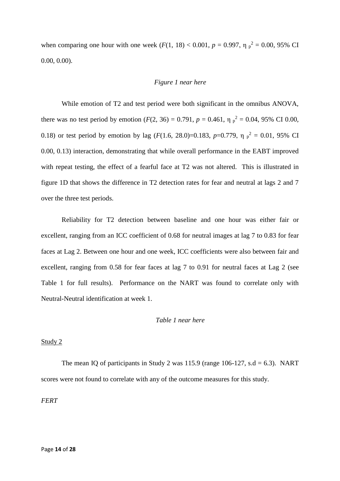when comparing one hour with one week  $(F(1, 18) < 0.001, p = 0.997, \eta_p^2 = 0.00, 95\% \text{ CI}$ 0.00, 0.00).

# *Figure 1 near here*

While emotion of T2 and test period were both significant in the omnibus ANOVA, there was no test period by emotion  $(F(2, 36) = 0.791, p = 0.461, \eta_p^2 = 0.04, 95\% \text{ CI } 0.00,$ 0.18) or test period by emotion by lag  $(F(1.6, 28.0)=0.183, p=0.779, \eta_p^2 = 0.01, 95\% \text{ CI}$ 0.00, 0.13) interaction, demonstrating that while overall performance in the EABT improved with repeat testing, the effect of a fearful face at T2 was not altered. This is illustrated in figure 1D that shows the difference in T2 detection rates for fear and neutral at lags 2 and 7 over the three test periods.

Reliability for T2 detection between baseline and one hour was either fair or excellent, ranging from an ICC coefficient of 0.68 for neutral images at lag 7 to 0.83 for fear faces at Lag 2. Between one hour and one week, ICC coefficients were also between fair and excellent, ranging from 0.58 for fear faces at lag 7 to 0.91 for neutral faces at Lag 2 (see Table 1 for full results). Performance on the NART was found to correlate only with Neutral-Neutral identification at week 1.

# *Table 1 near here*

## Study 2

The mean IQ of participants in Study 2 was 115.9 (range 106-127, s.d = 6.3). NART scores were not found to correlate with any of the outcome measures for this study.

# *FERT*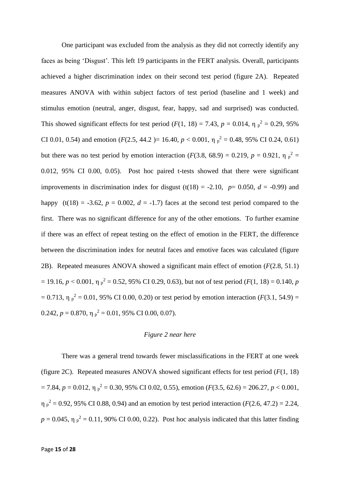One participant was excluded from the analysis as they did not correctly identify any faces as being 'Disgust'. This left 19 participants in the FERT analysis. Overall, participants achieved a higher discrimination index on their second test period (figure 2A). Repeated measures ANOVA with within subject factors of test period (baseline and 1 week) and stimulus emotion (neutral, anger, disgust, fear, happy, sad and surprised) was conducted. This showed significant effects for test period ( $F(1, 18) = 7.43$ ,  $p = 0.014$ ,  $\eta_p^2 = 0.29$ , 95% CI 0.01, 0.54) and emotion ( $F(2.5, 44.2) = 16.40$ ,  $p < 0.001$ ,  $\eta_p^2 = 0.48$ , 95% CI 0.24, 0.61) but there was no test period by emotion interaction ( $F(3.8, 68.9) = 0.219$ ,  $p = 0.921$ ,  $\eta_p^2 =$ 0.012, 95% CI 0.00, 0.05). Post hoc paired t-tests showed that there were significant improvements in discrimination index for disgust  $(t(18) = -2.10$ ,  $p = 0.050$ ,  $d = -0.99$ ) and happy  $(t(18) = -3.62, p = 0.002, d = -1.7)$  faces at the second test period compared to the first. There was no significant difference for any of the other emotions. To further examine if there was an effect of repeat testing on the effect of emotion in the FERT, the difference between the discrimination index for neutral faces and emotive faces was calculated (figure 2B). Repeated measures ANOVA showed a significant main effect of emotion (*F*(2.8, 51.1)  $= 19.16, p < 0.001, \eta_p^2 = 0.52, 95\% \text{ CI } 0.29, 0.63$ ), but not of test period (*F*(1, 18) = 0.140, *p*  $= 0.713$ ,  $\eta p^2 = 0.01$ , 95% CI 0.00, 0.20) or test period by emotion interaction (*F*(3.1, 54.9) = 0.242,  $p = 0.870$ ,  $\eta_p^2 = 0.01$ , 95% CI 0.00, 0.07).

## *Figure 2 near here*

There was a general trend towards fewer misclassifications in the FERT at one week (figure 2C). Repeated measures ANOVA showed significant effects for test period (*F*(1, 18)  $= 7.84, p = 0.012, \eta_p^2 = 0.30, 95\% \text{ CI } 0.02, 0.55$ , emotion ( $F(3.5, 62.6) = 206.27, p < 0.001$ ,  $\eta_p^2 = 0.92$ , 95% CI 0.88, 0.94) and an emotion by test period interaction (*F*(2.6, 47.2) = 2.24,  $p = 0.045$ ,  $\eta_p^2 = 0.11$ , 90% CI 0.00, 0.22). Post hoc analysis indicated that this latter finding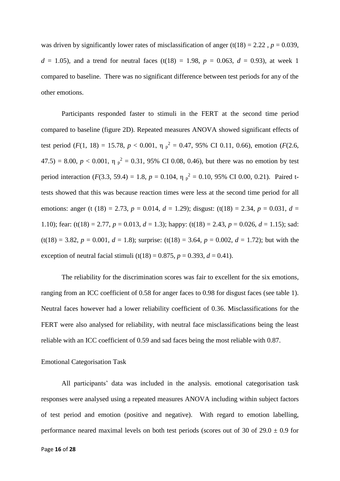was driven by significantly lower rates of misclassification of anger  $(t(18) = 2.22$ ,  $p = 0.039$ ,  $d = 1.05$ , and a trend for neutral faces (t(18) = 1.98,  $p = 0.063$ ,  $d = 0.93$ ), at week 1 compared to baseline. There was no significant difference between test periods for any of the other emotions.

Participants responded faster to stimuli in the FERT at the second time period compared to baseline (figure 2D). Repeated measures ANOVA showed significant effects of test period ( $F(1, 18) = 15.78$ ,  $p < 0.001$ ,  $\eta_p^2 = 0.47$ , 95% CI 0.11, 0.66), emotion ( $F(2.6, 1.1)$  $(47.5) = 8.00, p < 0.001, \eta_p^2 = 0.31, 95\% \text{ CI } 0.08, 0.46$ , but there was no emotion by test period interaction  $(F(3.3, 59.4) = 1.8, p = 0.104, \eta_p^2 = 0.10, 95\% \text{ CI } 0.00, 0.21$ . Paired ttests showed that this was because reaction times were less at the second time period for all emotions: anger (t (18) = 2.73, *p* = 0.014, *d* = 1.29); disgust: (t(18) = 2.34, *p* = 0.031, *d* = 1.10); fear: (t(18) = 2.77,  $p = 0.013$ ,  $d = 1.3$ ); happy: (t(18) = 2.43,  $p = 0.026$ ,  $d = 1.15$ ); sad:  $(t(18) = 3.82, p = 0.001, d = 1.8)$ ; surprise:  $(t(18) = 3.64, p = 0.002, d = 1.72)$ ; but with the exception of neutral facial stimuli (t(18) = 0.875,  $p = 0.393$ ,  $d = 0.41$ ).

The reliability for the discrimination scores was fair to excellent for the six emotions, ranging from an ICC coefficient of 0.58 for anger faces to 0.98 for disgust faces (see table 1). Neutral faces however had a lower reliability coefficient of 0.36. Misclassifications for the FERT were also analysed for reliability, with neutral face misclassifications being the least reliable with an ICC coefficient of 0.59 and sad faces being the most reliable with 0.87.

Emotional Categorisation Task

All participants' data was included in the analysis. emotional categorisation task responses were analysed using a repeated measures ANOVA including within subject factors of test period and emotion (positive and negative). With regard to emotion labelling, performance neared maximal levels on both test periods (scores out of 30 of  $29.0 \pm 0.9$  for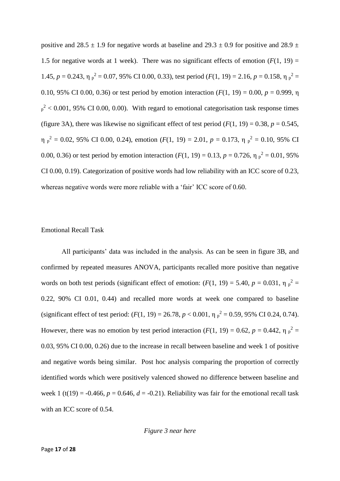positive and 28.5  $\pm$  1.9 for negative words at baseline and 29.3  $\pm$  0.9 for positive and 28.9  $\pm$ 1.5 for negative words at 1 week). There was no significant effects of emotion  $(F(1, 19) =$ 1.45,  $p = 0.243$ ,  $\eta p^2 = 0.07$ , 95% CI 0.00, 0.33), test period ( $F(1, 19) = 2.16$ ,  $p = 0.158$ ,  $\eta p^2 =$ 0.10, 95% CI 0.00, 0.36) or test period by emotion interaction  $(F(1, 19) = 0.00, p = 0.999, \eta)$  $p^2$  < 0.001, 95% CI 0.00, 0.00). With regard to emotional categorisation task response times (figure 3A), there was likewise no significant effect of test period  $(F(1, 19) = 0.38, p = 0.545,$  $\eta p^2 = 0.02$ , 95% CI 0.00, 0.24), emotion (*F*(1, 19) = 2.01, *p* = 0.173,  $\eta p^2 = 0.10$ , 95% CI 0.00, 0.36) or test period by emotion interaction ( $F(1, 19) = 0.13$ ,  $p = 0.726$ ,  $\eta_p^2 = 0.01$ , 95% CI 0.00, 0.19). Categorization of positive words had low reliability with an ICC score of 0.23, whereas negative words were more reliable with a 'fair' ICC score of 0.60.

#### Emotional Recall Task

All participants' data was included in the analysis. As can be seen in figure 3B, and confirmed by repeated measures ANOVA, participants recalled more positive than negative words on both test periods (significant effect of emotion:  $(F(1, 19) = 5.40, p = 0.031, \eta_p^2 =$ 0.22, 90% CI 0.01, 0.44) and recalled more words at week one compared to baseline (significant effect of test period:  $(F(1, 19) = 26.78, p < 0.001, \eta_p^2 = 0.59, 95\% \text{ CI } 0.24, 0.74)$ . However, there was no emotion by test period interaction  $(F(1, 19) = 0.62, p = 0.442, \eta_p^2 =$ 0.03, 95% CI 0.00, 0.26) due to the increase in recall between baseline and week 1 of positive and negative words being similar. Post hoc analysis comparing the proportion of correctly identified words which were positively valenced showed no difference between baseline and week 1 (t(19) = -0.466,  $p = 0.646$ ,  $d = -0.21$ ). Reliability was fair for the emotional recall task with an ICC score of 0.54.

#### *Figure 3 near here*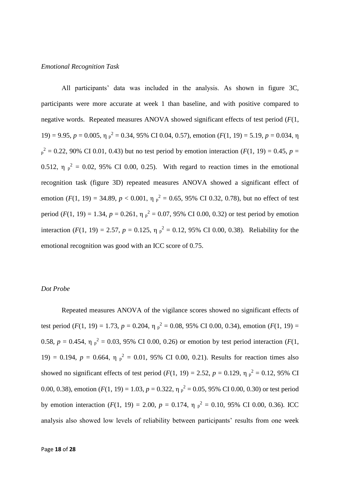#### *Emotional Recognition Task*

All participants' data was included in the analysis. As shown in figure 3C, participants were more accurate at week 1 than baseline, and with positive compared to negative words. Repeated measures ANOVA showed significant effects of test period (*F*(1, 19) = 9.95,  $p = 0.005$ ,  $\eta p^2 = 0.34$ , 95% CI 0.04, 0.57), emotion ( $F(1, 19) = 5.19$ ,  $p = 0.034$ ,  $\eta$  $p^2 = 0.22$ , 90% CI 0.01, 0.43) but no test period by emotion interaction ( $F(1, 19) = 0.45$ ,  $p =$ 0.512,  $\eta$   $_p^2$  = 0.02, 95% CI 0.00, 0.25). With regard to reaction times in the emotional recognition task (figure 3D) repeated measures ANOVA showed a significant effect of emotion  $(F(1, 19) = 34.89, p < 0.001, \eta_p^2 = 0.65, 95\% \text{ CI } 0.32, 0.78$ , but no effect of test period  $(F(1, 19) = 1.34, p = 0.261, \eta_p^2 = 0.07, 95\% \text{ CI } 0.00, 0.32)$  or test period by emotion interaction  $(F(1, 19) = 2.57, p = 0.125, \eta_p^2 = 0.12, 95\% \text{ CI } 0.00, 0.38)$ . Reliability for the emotional recognition was good with an ICC score of 0.75.

#### *Dot Probe*

Repeated measures ANOVA of the vigilance scores showed no significant effects of test period ( $F(1, 19) = 1.73$ ,  $p = 0.204$ ,  $\eta_p^2 = 0.08$ , 95% CI 0.00, 0.34), emotion ( $F(1, 19) =$ 0.58,  $p = 0.454$ ,  $\eta p^2 = 0.03$ , 95% CI 0.00, 0.26) or emotion by test period interaction (*F*(1, 19) = 0.194,  $p = 0.664$ ,  $\eta p^2 = 0.01$ , 95% CI 0.00, 0.21). Results for reaction times also showed no significant effects of test period ( $F(1, 19) = 2.52$ ,  $p = 0.129$ ,  $\eta_p^2 = 0.12$ , 95% CI 0.00, 0.38), emotion  $(F(1, 19) = 1.03, p = 0.322, \eta_p^2 = 0.05, 95\% \text{ CI } 0.00, 0.30)$  or test period by emotion interaction ( $F(1, 19) = 2.00$ ,  $p = 0.174$ ,  $\eta p^2 = 0.10$ , 95% CI 0.00, 0.36). ICC analysis also showed low levels of reliability between participants' results from one week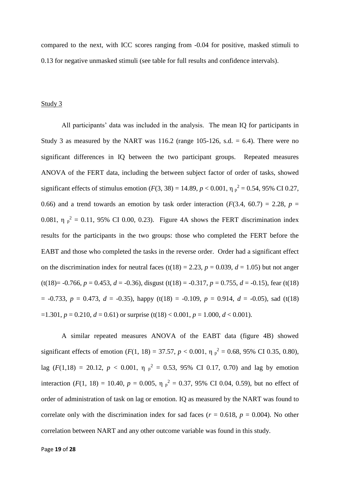compared to the next, with ICC scores ranging from -0.04 for positive, masked stimuli to 0.13 for negative unmasked stimuli (see table for full results and confidence intervals).

#### Study 3

All participants' data was included in the analysis. The mean IQ for participants in Study 3 as measured by the NART was  $116.2$  (range  $105-126$ , s.d. = 6.4). There were no significant differences in IQ between the two participant groups. Repeated measures ANOVA of the FERT data, including the between subject factor of order of tasks, showed significant effects of stimulus emotion ( $F(3, 38) = 14.89$ ,  $p < 0.001$ ,  $\eta_p^2 = 0.54$ , 95% CI 0.27, 0.66) and a trend towards an emotion by task order interaction  $(F(3.4, 60.7) = 2.28, p =$ 0.081,  $\eta_p^2 = 0.11$ , 95% CI 0.00, 0.23). Figure 4A shows the FERT discrimination index results for the participants in the two groups: those who completed the FERT before the EABT and those who completed the tasks in the reverse order. Order had a significant effect on the discrimination index for neutral faces  $(t(18) = 2.23, p = 0.039, d = 1.05)$  but not anger (t(18) =  $-0.766$ ,  $p = 0.453$ ,  $d = -0.36$ ), disgust (t(18) =  $-0.317$ ,  $p = 0.755$ ,  $d = -0.15$ ), fear (t(18))  $= -0.733$ ,  $p = 0.473$ ,  $d = -0.35$ ), happy (t(18) =  $-0.109$ ,  $p = 0.914$ ,  $d = -0.05$ ), sad (t(18)  $=1.301, p = 0.210, d = 0.61$  or surprise (t(18) < 0.001,  $p = 1.000, d < 0.001$ ).

A similar repeated measures ANOVA of the EABT data (figure 4B) showed significant effects of emotion ( $F(1, 18) = 37.57$ ,  $p < 0.001$ ,  $\eta_p^2 = 0.68$ , 95% CI 0.35, 0.80), lag  $(F(1,18) = 20.12, p < 0.001, \eta_p^2 = 0.53, 95\%$  CI 0.17, 0.70) and lag by emotion interaction ( $F(1, 18) = 10.40$ ,  $p = 0.005$ ,  $\eta p^2 = 0.37$ , 95% CI 0.04, 0.59), but no effect of order of administration of task on lag or emotion. IQ as measured by the NART was found to correlate only with the discrimination index for sad faces ( $r = 0.618$ ,  $p = 0.004$ ). No other correlation between NART and any other outcome variable was found in this study.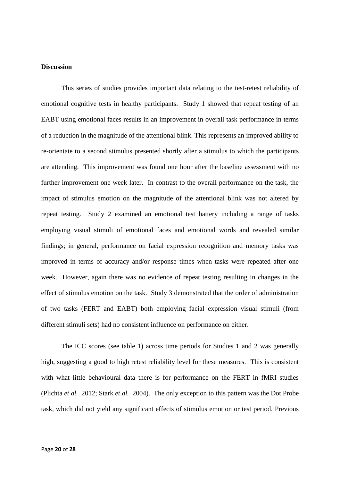# **Discussion**

This series of studies provides important data relating to the test-retest reliability of emotional cognitive tests in healthy participants. Study 1 showed that repeat testing of an EABT using emotional faces results in an improvement in overall task performance in terms of a reduction in the magnitude of the attentional blink. This represents an improved ability to re-orientate to a second stimulus presented shortly after a stimulus to which the participants are attending. This improvement was found one hour after the baseline assessment with no further improvement one week later. In contrast to the overall performance on the task, the impact of stimulus emotion on the magnitude of the attentional blink was not altered by repeat testing. Study 2 examined an emotional test battery including a range of tasks employing visual stimuli of emotional faces and emotional words and revealed similar findings; in general, performance on facial expression recognition and memory tasks was improved in terms of accuracy and/or response times when tasks were repeated after one week. However, again there was no evidence of repeat testing resulting in changes in the effect of stimulus emotion on the task. Study 3 demonstrated that the order of administration of two tasks (FERT and EABT) both employing facial expression visual stimuli (from different stimuli sets) had no consistent influence on performance on either.

The ICC scores (see table 1) across time periods for Studies 1 and 2 was generally high, suggesting a good to high retest reliability level for these measures. This is consistent with what little behavioural data there is for performance on the FERT in fMRI studies (Plichta *et al.* 2012; Stark *et al.* 2004). The only exception to this pattern was the Dot Probe task, which did not yield any significant effects of stimulus emotion or test period. Previous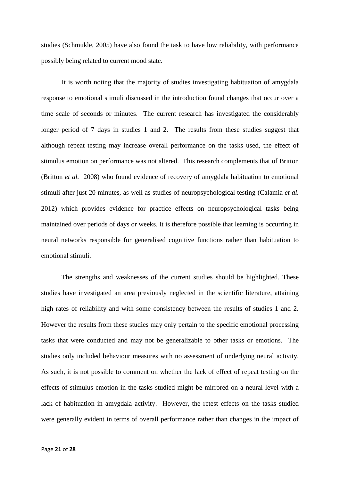studies (Schmukle, 2005) have also found the task to have low reliability, with performance possibly being related to current mood state.

It is worth noting that the majority of studies investigating habituation of amygdala response to emotional stimuli discussed in the introduction found changes that occur over a time scale of seconds or minutes. The current research has investigated the considerably longer period of 7 days in studies 1 and 2. The results from these studies suggest that although repeat testing may increase overall performance on the tasks used, the effect of stimulus emotion on performance was not altered. This research complements that of Britton (Britton *et al.* 2008) who found evidence of recovery of amygdala habituation to emotional stimuli after just 20 minutes, as well as studies of neuropsychological testing (Calamia *et al.*  2012) which provides evidence for practice effects on neuropsychological tasks being maintained over periods of days or weeks. It is therefore possible that learning is occurring in neural networks responsible for generalised cognitive functions rather than habituation to emotional stimuli.

The strengths and weaknesses of the current studies should be highlighted. These studies have investigated an area previously neglected in the scientific literature, attaining high rates of reliability and with some consistency between the results of studies 1 and 2. However the results from these studies may only pertain to the specific emotional processing tasks that were conducted and may not be generalizable to other tasks or emotions. The studies only included behaviour measures with no assessment of underlying neural activity. As such, it is not possible to comment on whether the lack of effect of repeat testing on the effects of stimulus emotion in the tasks studied might be mirrored on a neural level with a lack of habituation in amygdala activity. However, the retest effects on the tasks studied were generally evident in terms of overall performance rather than changes in the impact of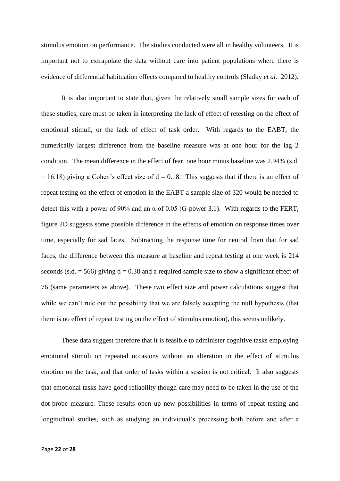stimulus emotion on performance. The studies conducted were all in healthy volunteers. It is important not to extrapolate the data without care into patient populations where there is evidence of differential habituation effects compared to healthy controls (Sladky *et al.* 2012).

It is also important to state that, given the relatively small sample sizes for each of these studies, care must be taken in interpreting the lack of effect of retesting on the effect of emotional stimuli, or the lack of effect of task order. With regards to the EABT, the numerically largest difference from the baseline measure was at one hour for the lag 2 condition. The mean difference in the effect of fear, one hour minus baseline was 2.94% (s.d.  $= 16.18$ ) giving a Cohen's effect size of  $d = 0.18$ . This suggests that if there is an effect of repeat testing on the effect of emotion in the EABT a sample size of 320 would be needed to detect this with a power of 90% and an  $\alpha$  of 0.05 (G-power 3.1). With regards to the FERT, figure 2D suggests some possible difference in the effects of emotion on response times over time, especially for sad faces. Subtracting the response time for neutral from that for sad faces, the difference between this measure at baseline and repeat testing at one week is 214 seconds (s.d.  $= 566$ ) giving  $d = 0.38$  and a required sample size to show a significant effect of 76 (same parameters as above). These two effect size and power calculations suggest that while we can't rule out the possibility that we are falsely accepting the null hypothesis (that there is no effect of repeat testing on the effect of stimulus emotion), this seems unlikely.

These data suggest therefore that it is feasible to administer cognitive tasks employing emotional stimuli on repeated occasions without an alteration in the effect of stimulus emotion on the task, and that order of tasks within a session is not critical. It also suggests that emotional tasks have good reliability though care may need to be taken in the use of the dot-probe measure. These results open up new possibilities in terms of repeat testing and longitudinal studies, such as studying an individual's processing both before and after a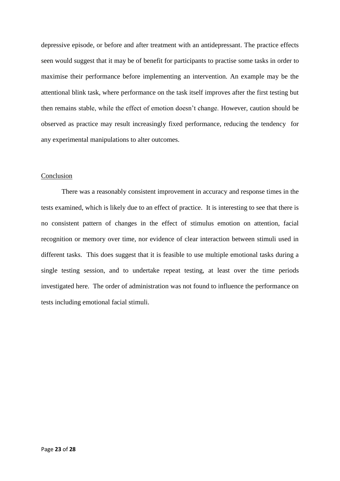depressive episode, or before and after treatment with an antidepressant. The practice effects seen would suggest that it may be of benefit for participants to practise some tasks in order to maximise their performance before implementing an intervention. An example may be the attentional blink task, where performance on the task itself improves after the first testing but then remains stable, while the effect of emotion doesn't change. However, caution should be observed as practice may result increasingly fixed performance, reducing the tendency for any experimental manipulations to alter outcomes.

#### Conclusion

There was a reasonably consistent improvement in accuracy and response times in the tests examined, which is likely due to an effect of practice. It is interesting to see that there is no consistent pattern of changes in the effect of stimulus emotion on attention, facial recognition or memory over time, nor evidence of clear interaction between stimuli used in different tasks. This does suggest that it is feasible to use multiple emotional tasks during a single testing session, and to undertake repeat testing, at least over the time periods investigated here. The order of administration was not found to influence the performance on tests including emotional facial stimuli.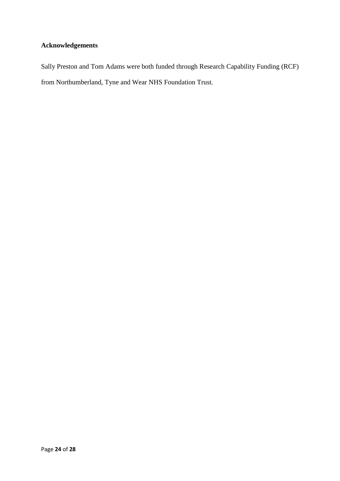# **Acknowledgements**

Sally Preston and Tom Adams were both funded through Research Capability Funding (RCF) from Northumberland, Tyne and Wear NHS Foundation Trust.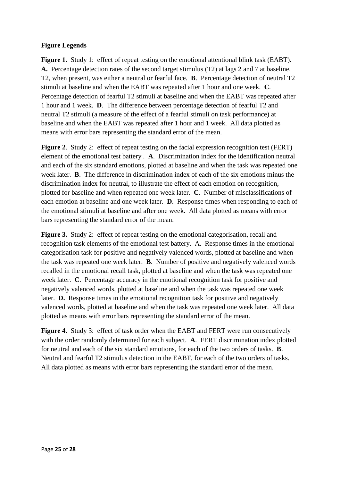# **Figure Legends**

**Figure 1.** Study 1: effect of repeat testing on the emotional attentional blink task (EABT). **A.** Percentage detection rates of the second target stimulus (T2) at lags 2 and 7 at baseline. T2, when present, was either a neutral or fearful face. **B**. Percentage detection of neutral T2 stimuli at baseline and when the EABT was repeated after 1 hour and one week. **C**. Percentage detection of fearful T2 stimuli at baseline and when the EABT was repeated after 1 hour and 1 week. **D**. The difference between percentage detection of fearful T2 and neutral T2 stimuli (a measure of the effect of a fearful stimuli on task performance) at baseline and when the EABT was repeated after 1 hour and 1 week. All data plotted as means with error bars representing the standard error of the mean.

**Figure 2.** Study 2: effect of repeat testing on the facial expression recognition test (FERT) element of the emotional test battery . **A**. Discrimination index for the identification neutral and each of the six standard emotions, plotted at baseline and when the task was repeated one week later. **B**. The difference in discrimination index of each of the six emotions minus the discrimination index for neutral, to illustrate the effect of each emotion on recognition, plotted for baseline and when repeated one week later. **C**. Number of misclassifications of each emotion at baseline and one week later. **D**. Response times when responding to each of the emotional stimuli at baseline and after one week. All data plotted as means with error bars representing the standard error of the mean.

**Figure 3.** Study 2: effect of repeat testing on the emotional categorisation, recall and recognition task elements of the emotional test battery. A. Response times in the emotional categorisation task for positive and negatively valenced words, plotted at baseline and when the task was repeated one week later. **B**. Number of positive and negatively valenced words recalled in the emotional recall task, plotted at baseline and when the task was repeated one week later. **C**. Percentage accuracy in the emotional recognition task for positive and negatively valenced words, plotted at baseline and when the task was repeated one week later. **D.** Response times in the emotional recognition task for positive and negatively valenced words, plotted at baseline and when the task was repeated one week later. All data plotted as means with error bars representing the standard error of the mean.

**Figure 4**. Study 3: effect of task order when the EABT and FERT were run consecutively with the order randomly determined for each subject. **A**. FERT discrimination index plotted for neutral and each of the six standard emotions, for each of the two orders of tasks. **B**. Neutral and fearful T2 stimulus detection in the EABT, for each of the two orders of tasks. All data plotted as means with error bars representing the standard error of the mean.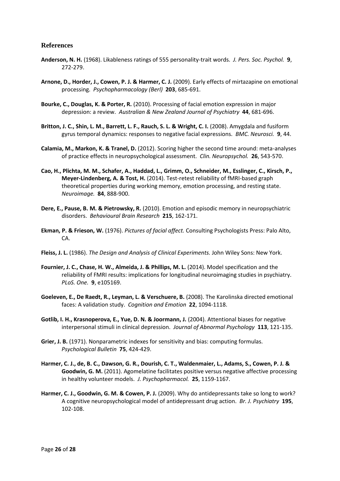# **References**

- **Anderson, N. H.** (1968). Likableness ratings of 555 personality-trait words. *J. Pers. Soc. Psychol.* **9**, 272-279.
- **Arnone, D., Horder, J., Cowen, P. J. & Harmer, C. J.** (2009). Early effects of mirtazapine on emotional processing. *Psychopharmacology (Berl)* **203**, 685-691.
- **Bourke, C., Douglas, K. & Porter, R.** (2010). Processing of facial emotion expression in major depression: a review. *Australian & New Zealand Journal of Psychiatry* **44**, 681-696.
- **Britton, J. C., Shin, L. M., Barrett, L. F., Rauch, S. L. & Wright, C. I.** (2008). Amygdala and fusiform gyrus temporal dynamics: responses to negative facial expressions. *BMC. Neurosci.* **9**, 44.
- **Calamia, M., Markon, K. & Tranel, D.** (2012). Scoring higher the second time around: meta-analyses of practice effects in neuropsychological assessment. *Clin. Neuropsychol.* **26**, 543-570.
- **Cao, H., Plichta, M. M., Schafer, A., Haddad, L., Grimm, O., Schneider, M., Esslinger, C., Kirsch, P., Meyer-Lindenberg, A. & Tost, H.** (2014). Test-retest reliability of fMRI-based graph theoretical properties during working memory, emotion processing, and resting state. *Neuroimage.* **84**, 888-900.
- **Dere, E., Pause, B. M. & Pietrowsky, R.** (2010). Emotion and episodic memory in neuropsychiatric disorders. *Behavioural Brain Research* **215**, 162-171.
- **Ekman, P. & Frieson, W.** (1976). *Pictures of facial affect.* Consulting Psychologists Press: Palo Alto, CA.
- **Fleiss, J. L.** (1986). *The Design and Analysis of Clinical Experiments.* John Wiley Sons: New York.
- **Fournier, J. C., Chase, H. W., Almeida, J. & Phillips, M. L.** (2014). Model specification and the reliability of FMRI results: implications for longitudinal neuroimaging studies in psychiatry. *PLoS. One.* **9**, e105169.
- **Goeleven, E., De Raedt, R., Leyman, L. & Verschuere, B.** (2008). The Karolinska directed emotional faces: A validation study. *Cognition and Emotion* **22**, 1094-1118.
- **Gotlib, I. H., Krasnoperova, E., Yue, D. N. & Joormann, J.** (2004). Attentional biases for negative interpersonal stimuli in clinical depression. *Journal of Abnormal Psychology* **113**, 121-135.
- **Grier, J. B.** (1971). Nonparametric indexes for sensitivity and bias: computing formulas. *Psychological Bulletin* **75**, 424-429.
- **Harmer, C. J., de, B. C., Dawson, G. R., Dourish, C. T., Waldenmaier, L., Adams, S., Cowen, P. J. & Goodwin, G. M.** (2011). Agomelatine facilitates positive versus negative affective processing in healthy volunteer models. *J. Psychopharmacol.* **25**, 1159-1167.
- **Harmer, C. J., Goodwin, G. M. & Cowen, P. J.** (2009). Why do antidepressants take so long to work? A cognitive neuropsychological model of antidepressant drug action. *Br. J. Psychiatry* **195**, 102-108.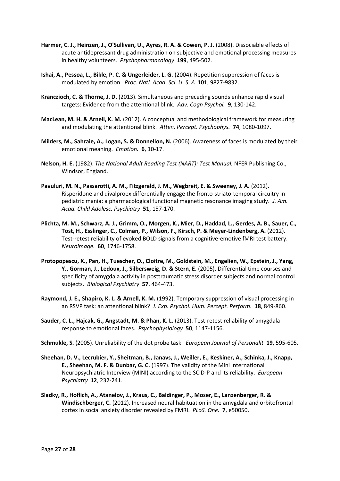- **Harmer, C. J., Heinzen, J., O'Sullivan, U., Ayres, R. A. & Cowen, P. J.** (2008). Dissociable effects of acute antidepressant drug administration on subjective and emotional processing measures in healthy volunteers. *Psychopharmacology* **199**, 495-502.
- **Ishai, A., Pessoa, L., Bikle, P. C. & Ungerleider, L. G.** (2004). Repetition suppression of faces is modulated by emotion. *Proc. Natl. Acad. Sci. U. S. A* **101**, 9827-9832.
- **Kranczioch, C. & Thorne, J. D.** (2013). Simultaneous and preceding sounds enhance rapid visual targets: Evidence from the attentional blink. *Adv. Cogn Psychol.* **9**, 130-142.
- **MacLean, M. H. & Arnell, K. M.** (2012). A conceptual and methodological framework for measuring and modulating the attentional blink. *Atten. Percept. Psychophys.* **74**, 1080-1097.
- **Milders, M., Sahraie, A., Logan, S. & Donnellon, N.** (2006). Awareness of faces is modulated by their emotional meaning. *Emotion.* **6**, 10-17.
- **Nelson, H. E.** (1982). *The National Adult Reading Test (NART): Test Manual.* NFER Publishing Co., Windsor, England.
- **Pavuluri, M. N., Passarotti, A. M., Fitzgerald, J. M., Wegbreit, E. & Sweeney, J. A.** (2012). Risperidone and divalproex differentially engage the fronto-striato-temporal circuitry in pediatric mania: a pharmacological functional magnetic resonance imaging study. *J. Am. Acad. Child Adolesc. Psychiatry* **51**, 157-170.
- **Plichta, M. M., Schwarz, A. J., Grimm, O., Morgen, K., Mier, D., Haddad, L., Gerdes, A. B., Sauer, C., Tost, H., Esslinger, C., Colman, P., Wilson, F., Kirsch, P. & Meyer-Lindenberg, A.** (2012). Test-retest reliability of evoked BOLD signals from a cognitive-emotive fMRI test battery. *Neuroimage.* **60**, 1746-1758.
- **Protopopescu, X., Pan, H., Tuescher, O., Cloitre, M., Goldstein, M., Engelien, W., Epstein, J., Yang, Y., Gorman, J., Ledoux, J., Silbersweig, D. & Stern, E.** (2005). Differential time courses and specificity of amygdala activity in posttraumatic stress disorder subjects and normal control subjects. *Biological Psychiatry* **57**, 464-473.
- **Raymond, J. E., Shapiro, K. L. & Arnell, K. M.** (1992). Temporary suppression of visual processing in an RSVP task: an attentional blink? *J. Exp. Psychol. Hum. Percept. Perform.* **18**, 849-860.
- **Sauder, C. L., Hajcak, G., Angstadt, M. & Phan, K. L.** (2013). Test-retest reliability of amygdala response to emotional faces. *Psychophysiology* **50**, 1147-1156.
- **Schmukle, S.** (2005). Unreliability of the dot probe task. *European Journal of Personalit* **19**, 595-605.
- **Sheehan, D. V., Lecrubier, Y., Sheitman, B., Janavs, J., Weiller, E., Keskiner, A., Schinka, J., Knapp, E., Sheehan, M. F. & Dunbar, G. C.** (1997). The validity of the Mini International Neuropsychiatric Interview (MINI) according to the SCID-P and its reliability. *European Psychiatry* **12**, 232-241.
- **Sladky, R., Hoflich, A., Atanelov, J., Kraus, C., Baldinger, P., Moser, E., Lanzenberger, R. & Windischberger, C.** (2012). Increased neural habituation in the amygdala and orbitofrontal cortex in social anxiety disorder revealed by FMRI. *PLoS. One.* **7**, e50050.